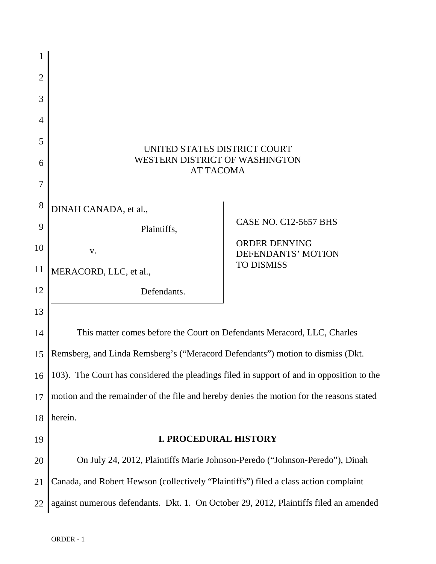| 1              |                                                                                           |                                                   |
|----------------|-------------------------------------------------------------------------------------------|---------------------------------------------------|
| $\overline{2}$ |                                                                                           |                                                   |
| 3              |                                                                                           |                                                   |
| 4              |                                                                                           |                                                   |
| 5              | UNITED STATES DISTRICT COURT<br><b>WESTERN DISTRICT OF WASHINGTON</b><br><b>AT TACOMA</b> |                                                   |
| 6              |                                                                                           |                                                   |
| $\overline{7}$ |                                                                                           |                                                   |
| 8              | DINAH CANADA, et al.,                                                                     |                                                   |
| 9              | Plaintiffs,                                                                               | <b>CASE NO. C12-5657 BHS</b>                      |
| 10             | V.                                                                                        | <b>ORDER DENYING</b><br><b>DEFENDANTS' MOTION</b> |
| 11             | MERACORD, LLC, et al.,                                                                    | <b>TO DISMISS</b>                                 |
| 12             | Defendants.                                                                               |                                                   |
| 13             |                                                                                           |                                                   |
| 14             | This matter comes before the Court on Defendants Meracord, LLC, Charles                   |                                                   |
| 15             | Remsberg, and Linda Remsberg's ("Meracord Defendants") motion to dismiss (Dkt.            |                                                   |
| 16             | 103). The Court has considered the pleadings filed in support of and in opposition to the |                                                   |
| 17             | motion and the remainder of the file and hereby denies the motion for the reasons stated  |                                                   |
| 18             | herein.                                                                                   |                                                   |
| 19             | <b>I. PROCEDURAL HISTORY</b>                                                              |                                                   |
| 20             | On July 24, 2012, Plaintiffs Marie Johnson-Peredo ("Johnson-Peredo"), Dinah               |                                                   |
| 21             | Canada, and Robert Hewson (collectively "Plaintiffs") filed a class action complaint      |                                                   |
| 22             | against numerous defendants. Dkt. 1. On October 29, 2012, Plaintiffs filed an amended     |                                                   |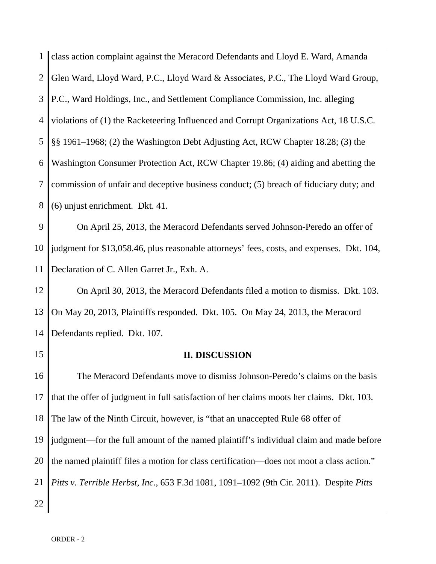1 2 3 4 5 6 7 8 class action complaint against the Meracord Defendants and Lloyd E. Ward, Amanda Glen Ward, Lloyd Ward, P.C., Lloyd Ward & Associates, P.C., The Lloyd Ward Group, P.C., Ward Holdings, Inc., and Settlement Compliance Commission, Inc. alleging violations of (1) the Racketeering Influenced and Corrupt Organizations Act, 18 U.S.C. §§ 1961–1968; (2) the Washington Debt Adjusting Act, RCW Chapter 18.28; (3) the Washington Consumer Protection Act, RCW Chapter 19.86; (4) aiding and abetting the commission of unfair and deceptive business conduct; (5) breach of fiduciary duty; and (6) unjust enrichment. Dkt. 41.

9 10 11 On April 25, 2013, the Meracord Defendants served Johnson-Peredo an offer of judgment for \$13,058.46, plus reasonable attorneys' fees, costs, and expenses. Dkt. 104, Declaration of C. Allen Garret Jr., Exh. A.

12 13 14 On April 30, 2013, the Meracord Defendants filed a motion to dismiss. Dkt. 103. On May 20, 2013, Plaintiffs responded. Dkt. 105. On May 24, 2013, the Meracord Defendants replied. Dkt. 107.

15

## **II. DISCUSSION**

16 17 18 19 20 21 22 The Meracord Defendants move to dismiss Johnson-Peredo's claims on the basis that the offer of judgment in full satisfaction of her claims moots her claims. Dkt. 103. The law of the Ninth Circuit, however, is "that an unaccepted Rule 68 offer of judgment—for the full amount of the named plaintiff's individual claim and made before the named plaintiff files a motion for class certification—does not moot a class action." *Pitts v. Terrible Herbst, Inc.*, 653 F.3d 1081, 1091–1092 (9th Cir. 2011). Despite *Pitts*

ORDER - 2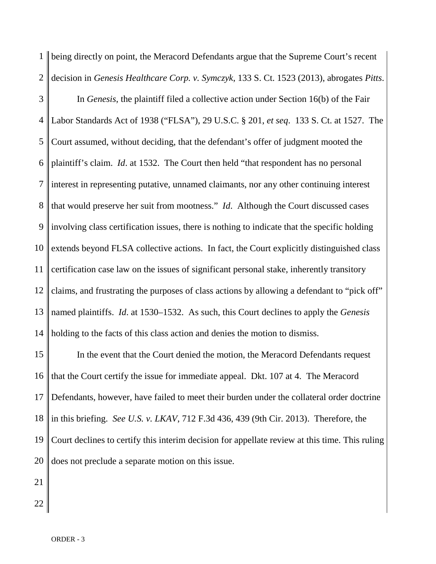1 2 being directly on point, the Meracord Defendants argue that the Supreme Court's recent decision in *Genesis Healthcare Corp. v. Symczyk*, 133 S. Ct. 1523 (2013), abrogates *Pitts*.

3 4 5 6 7 8 9 10 11 12 13 14 In *Genesis*, the plaintiff filed a collective action under Section 16(b) of the Fair Labor Standards Act of 1938 ("FLSA"), 29 U.S.C. § 201, *et seq*. 133 S. Ct. at 1527. The Court assumed, without deciding, that the defendant's offer of judgment mooted the plaintiff's claim. *Id*. at 1532. The Court then held "that respondent has no personal interest in representing putative, unnamed claimants, nor any other continuing interest that would preserve her suit from mootness." *Id*. Although the Court discussed cases involving class certification issues, there is nothing to indicate that the specific holding extends beyond FLSA collective actions. In fact, the Court explicitly distinguished class certification case law on the issues of significant personal stake, inherently transitory claims, and frustrating the purposes of class actions by allowing a defendant to "pick off" named plaintiffs. *Id*. at 1530–1532. As such, this Court declines to apply the *Genesis* holding to the facts of this class action and denies the motion to dismiss.

15 16 17 18 19 20 In the event that the Court denied the motion, the Meracord Defendants request that the Court certify the issue for immediate appeal. Dkt. 107 at 4. The Meracord Defendants, however, have failed to meet their burden under the collateral order doctrine in this briefing. *See U.S. v. LKAV*, 712 F.3d 436, 439 (9th Cir. 2013). Therefore, the Court declines to certify this interim decision for appellate review at this time. This ruling does not preclude a separate motion on this issue.

22

21